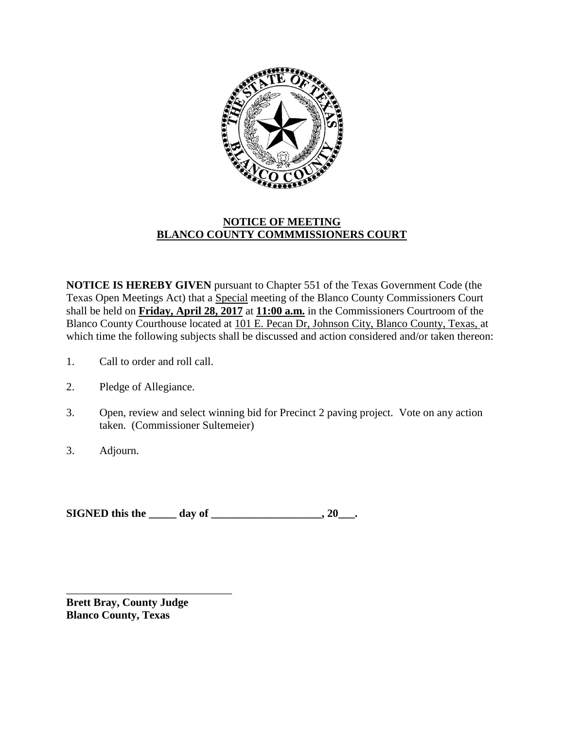

## **NOTICE OF MEETING BLANCO COUNTY COMMMISSIONERS COURT**

**NOTICE IS HEREBY GIVEN** pursuant to Chapter 551 of the Texas Government Code (the Texas Open Meetings Act) that a Special meeting of the Blanco County Commissioners Court shall be held on **Friday, April 28, 2017** at **11:00 a.m.** in the Commissioners Courtroom of the Blanco County Courthouse located at 101 E. Pecan Dr, Johnson City, Blanco County, Texas, at which time the following subjects shall be discussed and action considered and/or taken thereon:

- 1. Call to order and roll call.
- 2. Pledge of Allegiance.
- 3. Open, review and select winning bid for Precinct 2 paving project. Vote on any action taken. (Commissioner Sultemeier)
- 3. Adjourn.

**SIGNED this the \_\_\_\_\_ day of \_\_\_\_\_\_\_\_\_\_\_\_\_\_\_\_, 20\_\_\_.** 

**Brett Bray, County Judge Blanco County, Texas**

\_\_\_\_\_\_\_\_\_\_\_\_\_\_\_\_\_\_\_\_\_\_\_\_\_\_\_\_\_\_